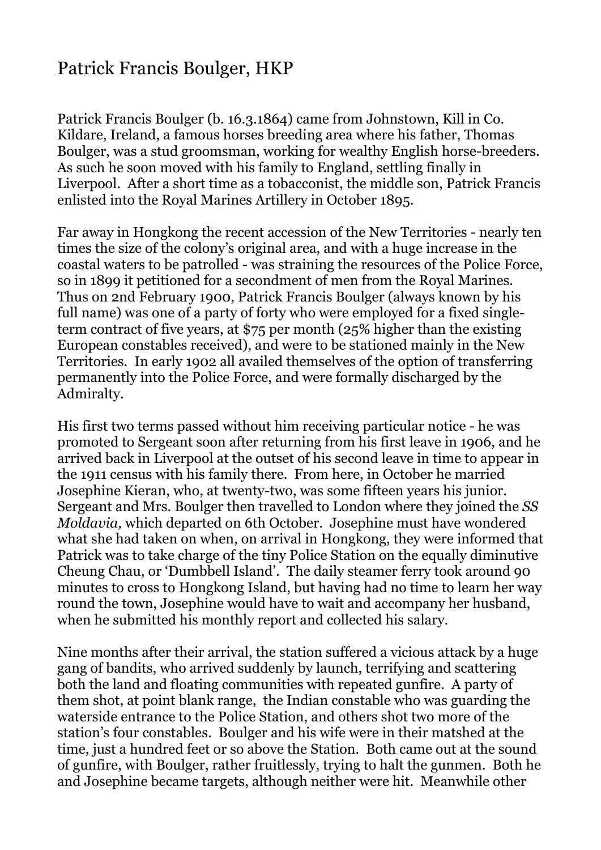## Patrick Francis Boulger, HKP

Patrick Francis Boulger (b. 16.3.1864) came from Johnstown, Kill in Co. Kildare, Ireland, a famous horses breeding area where his father, Thomas Boulger, was a stud groomsman, working for wealthy English horse-breeders. As such he soon moved with his family to England, settling finally in Liverpool. After a short time as a tobacconist, the middle son, Patrick Francis enlisted into the Royal Marines Artillery in October 1895.

Far away in Hongkong the recent accession of the New Territories - nearly ten times the size of the colony's original area, and with a huge increase in the coastal waters to be patrolled - was straining the resources of the Police Force, so in 1899 it petitioned for a secondment of men from the Royal Marines. Thus on 2nd February 1900, Patrick Francis Boulger (always known by his full name) was one of a party of forty who were employed for a fixed singleterm contract of five years, at \$75 per month (25% higher than the existing European constables received), and were to be stationed mainly in the New Territories. In early 1902 all availed themselves of the option of transferring permanently into the Police Force, and were formally discharged by the Admiralty.

His first two terms passed without him receiving particular notice - he was promoted to Sergeant soon after returning from his first leave in 1906, and he arrived back in Liverpool at the outset of his second leave in time to appear in the 1911 census with his family there. From here, in October he married Josephine Kieran, who, at twenty-two, was some fifteen years his junior. Sergeant and Mrs. Boulger then travelled to London where they joined the *SS Moldavia,* which departed on 6th October. Josephine must have wondered what she had taken on when, on arrival in Hongkong, they were informed that Patrick was to take charge of the tiny Police Station on the equally diminutive Cheung Chau, or 'Dumbbell Island'. The daily steamer ferry took around 90 minutes to cross to Hongkong Island, but having had no time to learn her way round the town, Josephine would have to wait and accompany her husband, when he submitted his monthly report and collected his salary.

Nine months after their arrival, the station suffered a vicious attack by a huge gang of bandits, who arrived suddenly by launch, terrifying and scattering both the land and floating communities with repeated gunfire. A party of them shot, at point blank range, the Indian constable who was guarding the waterside entrance to the Police Station, and others shot two more of the station's four constables. Boulger and his wife were in their matshed at the time, just a hundred feet or so above the Station. Both came out at the sound of gunfire, with Boulger, rather fruitlessly, trying to halt the gunmen. Both he and Josephine became targets, although neither were hit. Meanwhile other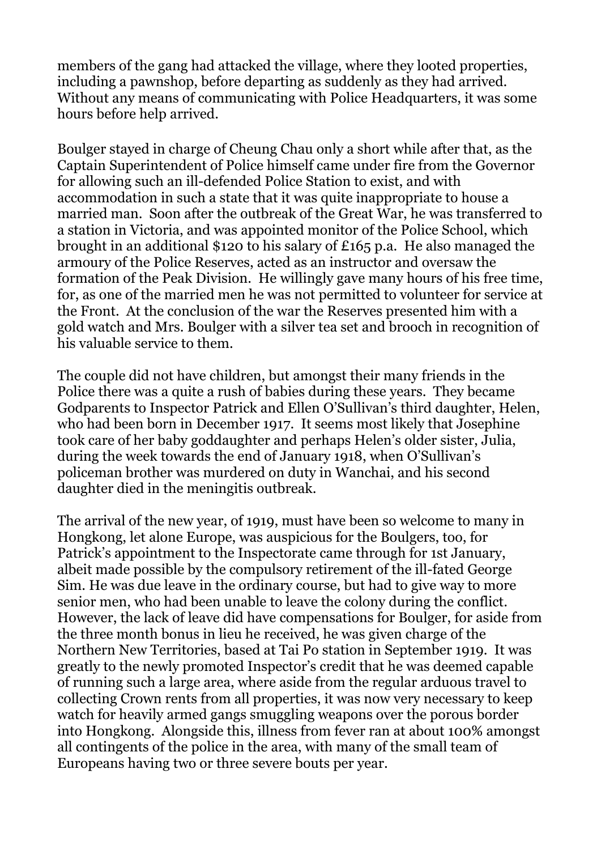members of the gang had attacked the village, where they looted properties, including a pawnshop, before departing as suddenly as they had arrived. Without any means of communicating with Police Headquarters, it was some hours before help arrived.

Boulger stayed in charge of Cheung Chau only a short while after that, as the Captain Superintendent of Police himself came under fire from the Governor for allowing such an ill-defended Police Station to exist, and with accommodation in such a state that it was quite inappropriate to house a married man. Soon after the outbreak of the Great War, he was transferred to a station in Victoria, and was appointed monitor of the Police School, which brought in an additional \$120 to his salary of £165 p.a. He also managed the armoury of the Police Reserves, acted as an instructor and oversaw the formation of the Peak Division. He willingly gave many hours of his free time, for, as one of the married men he was not permitted to volunteer for service at the Front. At the conclusion of the war the Reserves presented him with a gold watch and Mrs. Boulger with a silver tea set and brooch in recognition of his valuable service to them.

The couple did not have children, but amongst their many friends in the Police there was a quite a rush of babies during these years. They became Godparents to Inspector Patrick and Ellen O'Sullivan's third daughter, Helen, who had been born in December 1917. It seems most likely that Josephine took care of her baby goddaughter and perhaps Helen's older sister, Julia, during the week towards the end of January 1918, when O'Sullivan's policeman brother was murdered on duty in Wanchai, and his second daughter died in the meningitis outbreak.

The arrival of the new year, of 1919, must have been so welcome to many in Hongkong, let alone Europe, was auspicious for the Boulgers, too, for Patrick's appointment to the Inspectorate came through for 1st January, albeit made possible by the compulsory retirement of the ill-fated George Sim. He was due leave in the ordinary course, but had to give way to more senior men, who had been unable to leave the colony during the conflict. However, the lack of leave did have compensations for Boulger, for aside from the three month bonus in lieu he received, he was given charge of the Northern New Territories, based at Tai Po station in September 1919. It was greatly to the newly promoted Inspector's credit that he was deemed capable of running such a large area, where aside from the regular arduous travel to collecting Crown rents from all properties, it was now very necessary to keep watch for heavily armed gangs smuggling weapons over the porous border into Hongkong. Alongside this, illness from fever ran at about 100% amongst all contingents of the police in the area, with many of the small team of Europeans having two or three severe bouts per year.